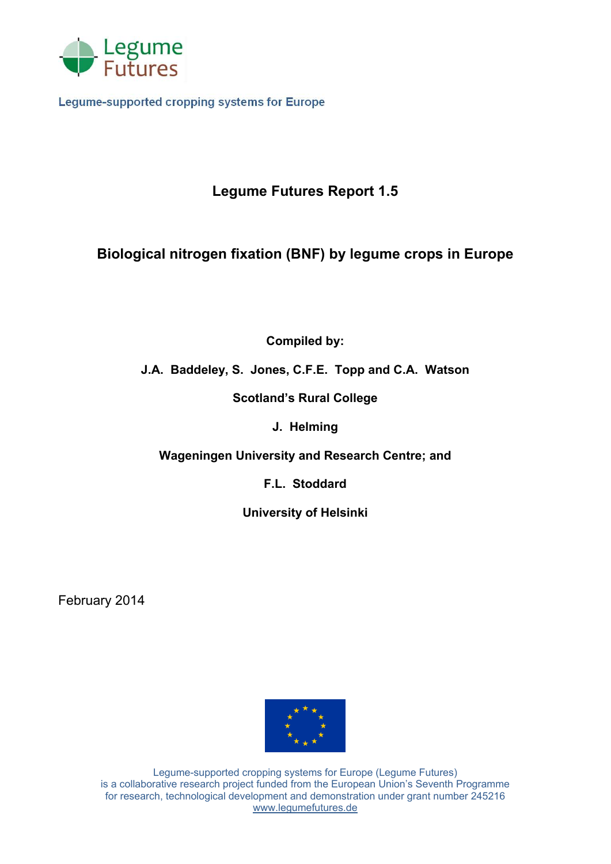

**Legume-supported cropping systems for Europe** 

# **Legume Futures Report 1.5**

# **Biological nitrogen fixation (BNF) by legume crops in Europe**

**Compiled by:**

# **J.A. Baddeley, S. Jones, C.F.E. Topp and C.A. Watson**

**Scotland's Rural College**

**J. Helming**

**Wageningen University and Research Centre; and**

**F.L. Stoddard**

**University of Helsinki** 

February 2014



Legume-supported cropping systems for Europe (Legume Futures) is a collaborative research project funded from the European Union's Seventh Programme for research, technological development and demonstration under grant number 245216 www.legumefutures.de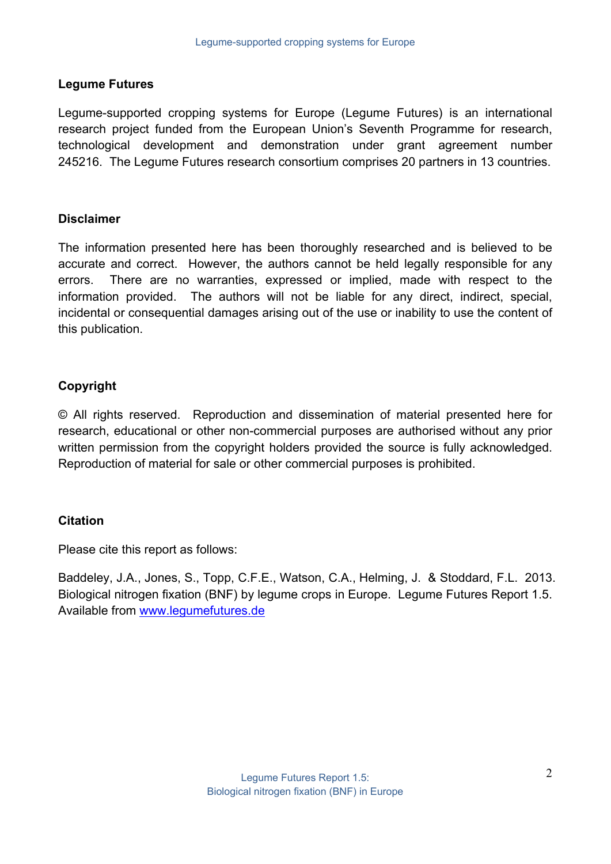#### **Legume Futures**

Legume-supported cropping systems for Europe (Legume Futures) is an international research project funded from the European Union's Seventh Programme for research, technological development and demonstration under grant agreement number 245216. The Legume Futures research consortium comprises 20 partners in 13 countries.

#### **Disclaimer**

The information presented here has been thoroughly researched and is believed to be accurate and correct. However, the authors cannot be held legally responsible for any errors. There are no warranties, expressed or implied, made with respect to the information provided. The authors will not be liable for any direct, indirect, special, incidental or consequential damages arising out of the use or inability to use the content of this publication.

## **Copyright**

© All rights reserved. Reproduction and dissemination of material presented here for research, educational or other non-commercial purposes are authorised without any prior written permission from the copyright holders provided the source is fully acknowledged. Reproduction of material for sale or other commercial purposes is prohibited.

## **Citation**

Please cite this report as follows:

Baddeley, J.A., Jones, S., Topp, C.F.E., Watson, C.A., Helming, J. & Stoddard, F.L. 2013. Biological nitrogen fixation (BNF) by legume crops in Europe. Legume Futures Report 1.5. Available from www.legumefutures.de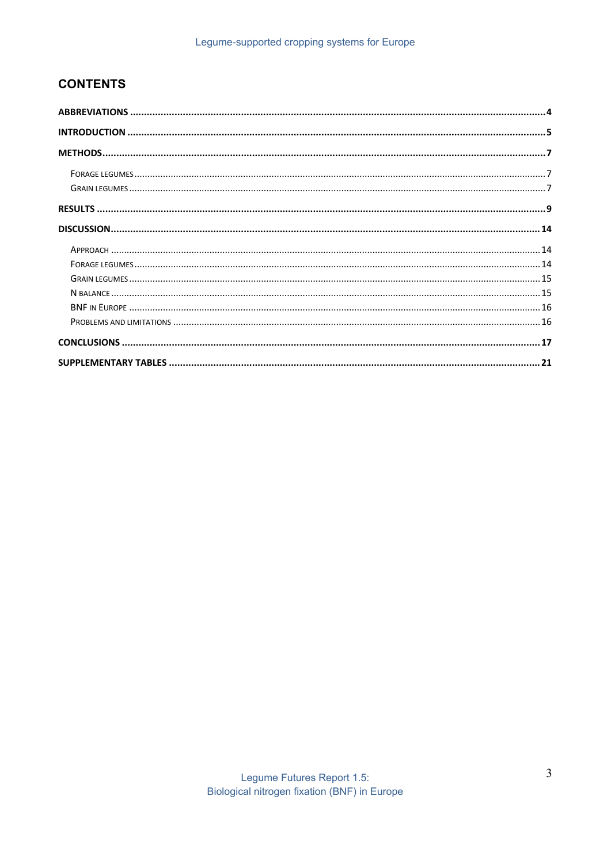# **CONTENTS**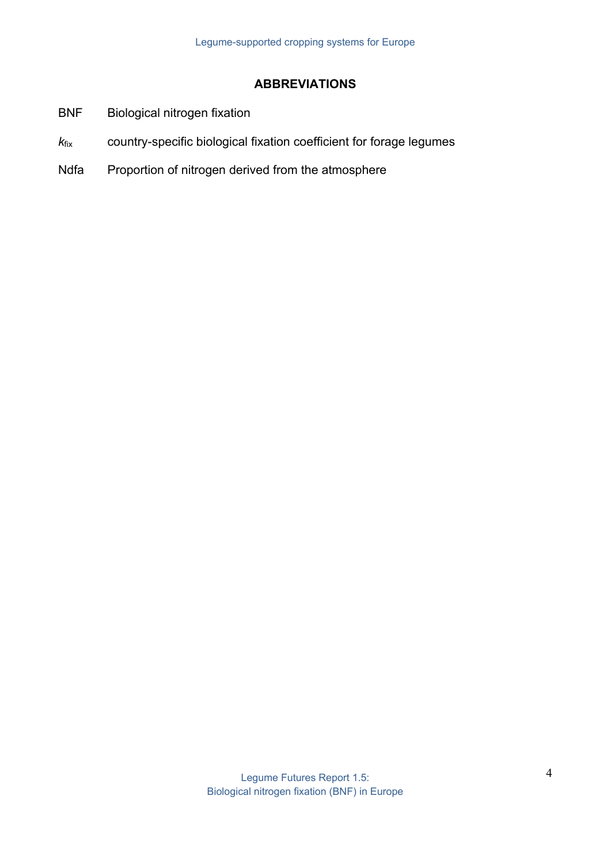## **ABBREVIATIONS**

- BNF Biological nitrogen fixation
- *k*fix country-specific biological fixation coefficient for forage legumes
- Ndfa Proportion of nitrogen derived from the atmosphere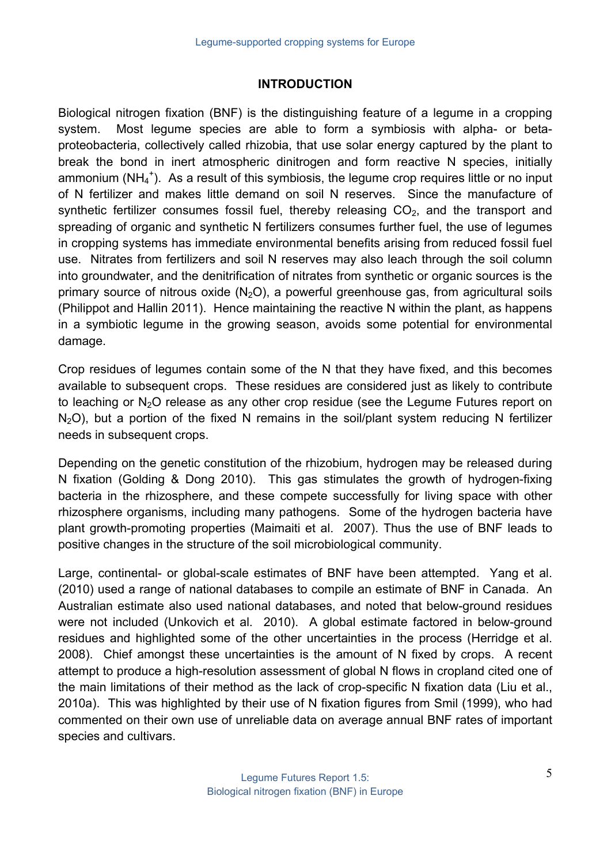# **INTRODUCTION**

Biological nitrogen fixation (BNF) is the distinguishing feature of a legume in a cropping system. Most legume species are able to form a symbiosis with alpha- or betaproteobacteria, collectively called rhizobia, that use solar energy captured by the plant to break the bond in inert atmospheric dinitrogen and form reactive N species, initially ammonium (NH<sub>4</sub><sup>+</sup>). As a result of this symbiosis, the legume crop requires little or no input of N fertilizer and makes little demand on soil N reserves. Since the manufacture of synthetic fertilizer consumes fossil fuel, thereby releasing  $CO<sub>2</sub>$ , and the transport and spreading of organic and synthetic N fertilizers consumes further fuel, the use of legumes in cropping systems has immediate environmental benefits arising from reduced fossil fuel use. Nitrates from fertilizers and soil N reserves may also leach through the soil column into groundwater, and the denitrification of nitrates from synthetic or organic sources is the primary source of nitrous oxide  $(N_2O)$ , a powerful greenhouse gas, from agricultural soils (Philippot and Hallin 2011). Hence maintaining the reactive N within the plant, as happens in a symbiotic legume in the growing season, avoids some potential for environmental damage.

Crop residues of legumes contain some of the N that they have fixed, and this becomes available to subsequent crops. These residues are considered just as likely to contribute to leaching or  $N_2O$  release as any other crop residue (see the Legume Futures report on  $N<sub>2</sub>O$ ), but a portion of the fixed N remains in the soil/plant system reducing N fertilizer needs in subsequent crops.

Depending on the genetic constitution of the rhizobium, hydrogen may be released during N fixation (Golding & Dong 2010). This gas stimulates the growth of hydrogen-fixing bacteria in the rhizosphere, and these compete successfully for living space with other rhizosphere organisms, including many pathogens. Some of the hydrogen bacteria have plant growth-promoting properties (Maimaiti et al. 2007). Thus the use of BNF leads to positive changes in the structure of the soil microbiological community.

Large, continental- or global-scale estimates of BNF have been attempted. Yang et al. (2010) used a range of national databases to compile an estimate of BNF in Canada. An Australian estimate also used national databases, and noted that below-ground residues were not included (Unkovich et al. 2010). A global estimate factored in below-ground residues and highlighted some of the other uncertainties in the process (Herridge et al. 2008). Chief amongst these uncertainties is the amount of N fixed by crops. A recent attempt to produce a high-resolution assessment of global N flows in cropland cited one of the main limitations of their method as the lack of crop-specific N fixation data (Liu et al., 2010a). This was highlighted by their use of N fixation figures from Smil (1999), who had commented on their own use of unreliable data on average annual BNF rates of important species and cultivars.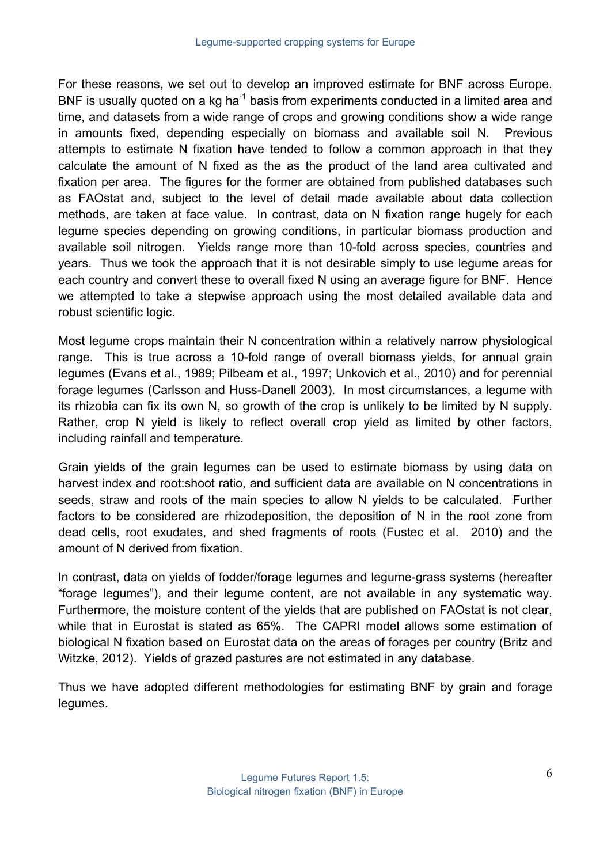For these reasons, we set out to develop an improved estimate for BNF across Europe. BNF is usually quoted on a kg ha<sup>-1</sup> basis from experiments conducted in a limited area and time, and datasets from a wide range of crops and growing conditions show a wide range in amounts fixed, depending especially on biomass and available soil N. Previous attempts to estimate N fixation have tended to follow a common approach in that they calculate the amount of N fixed as the as the product of the land area cultivated and fixation per area. The figures for the former are obtained from published databases such as FAOstat and, subject to the level of detail made available about data collection methods, are taken at face value. In contrast, data on N fixation range hugely for each legume species depending on growing conditions, in particular biomass production and available soil nitrogen. Yields range more than 10-fold across species, countries and years. Thus we took the approach that it is not desirable simply to use legume areas for each country and convert these to overall fixed N using an average figure for BNF. Hence we attempted to take a stepwise approach using the most detailed available data and robust scientific logic.

Most legume crops maintain their N concentration within a relatively narrow physiological range. This is true across a 10-fold range of overall biomass yields, for annual grain legumes (Evans et al., 1989; Pilbeam et al., 1997; Unkovich et al., 2010) and for perennial forage legumes (Carlsson and Huss-Danell 2003). In most circumstances, a legume with its rhizobia can fix its own N, so growth of the crop is unlikely to be limited by N supply. Rather, crop N yield is likely to reflect overall crop yield as limited by other factors, including rainfall and temperature.

Grain yields of the grain legumes can be used to estimate biomass by using data on harvest index and root:shoot ratio, and sufficient data are available on N concentrations in seeds, straw and roots of the main species to allow N yields to be calculated. Further factors to be considered are rhizodeposition, the deposition of N in the root zone from dead cells, root exudates, and shed fragments of roots (Fustec et al. 2010) and the amount of N derived from fixation.

In contrast, data on yields of fodder/forage legumes and legume-grass systems (hereafter "forage legumes"), and their legume content, are not available in any systematic way. Furthermore, the moisture content of the yields that are published on FAOstat is not clear, while that in Eurostat is stated as 65%. The CAPRI model allows some estimation of biological N fixation based on Eurostat data on the areas of forages per country (Britz and Witzke, 2012). Yields of grazed pastures are not estimated in any database.

Thus we have adopted different methodologies for estimating BNF by grain and forage legumes.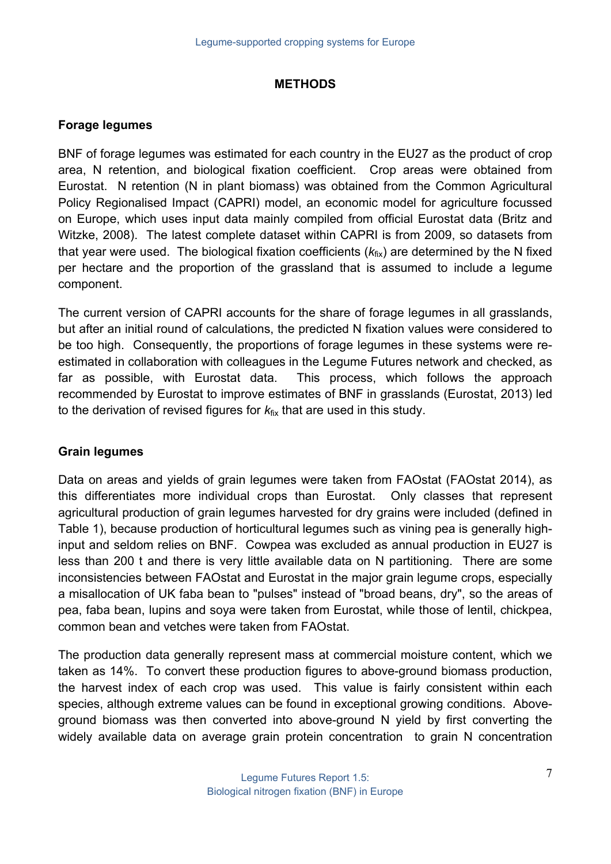#### **METHODS**

#### **Forage legumes**

BNF of forage legumes was estimated for each country in the EU27 as the product of crop area, N retention, and biological fixation coefficient. Crop areas were obtained from Eurostat. N retention (N in plant biomass) was obtained from the Common Agricultural Policy Regionalised Impact (CAPRI) model, an economic model for agriculture focussed on Europe, which uses input data mainly compiled from official Eurostat data (Britz and Witzke, 2008). The latest complete dataset within CAPRI is from 2009, so datasets from that vear were used. The biological fixation coefficients ( $k_{fix}$ ) are determined by the N fixed per hectare and the proportion of the grassland that is assumed to include a legume component.

The current version of CAPRI accounts for the share of forage legumes in all grasslands, but after an initial round of calculations, the predicted N fixation values were considered to be too high. Consequently, the proportions of forage legumes in these systems were reestimated in collaboration with colleagues in the Legume Futures network and checked, as far as possible, with Eurostat data. This process, which follows the approach recommended by Eurostat to improve estimates of BNF in grasslands (Eurostat, 2013) led to the derivation of revised figures for  $k_{fix}$  that are used in this study.

#### **Grain legumes**

Data on areas and yields of grain legumes were taken from FAOstat (FAOstat 2014), as this differentiates more individual crops than Eurostat. Only classes that represent agricultural production of grain legumes harvested for dry grains were included (defined in Table 1), because production of horticultural legumes such as vining pea is generally highinput and seldom relies on BNF. Cowpea was excluded as annual production in EU27 is less than 200 t and there is very little available data on N partitioning. There are some inconsistencies between FAOstat and Eurostat in the major grain legume crops, especially a misallocation of UK faba bean to "pulses" instead of "broad beans, dry", so the areas of pea, faba bean, lupins and soya were taken from Eurostat, while those of lentil, chickpea, common bean and vetches were taken from FAOstat.

The production data generally represent mass at commercial moisture content, which we taken as 14%. To convert these production figures to above-ground biomass production, the harvest index of each crop was used. This value is fairly consistent within each species, although extreme values can be found in exceptional growing conditions. Aboveground biomass was then converted into above-ground N yield by first converting the widely available data on average grain protein concentration to grain N concentration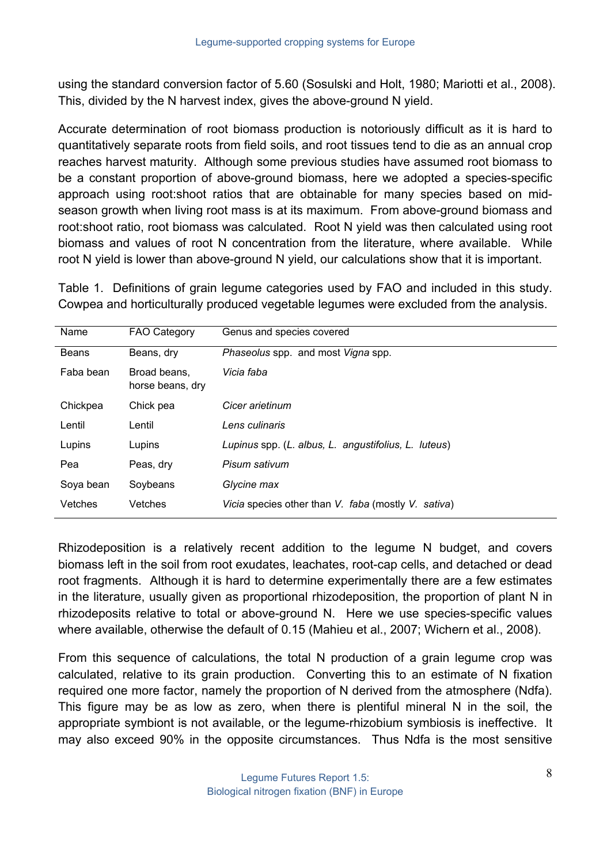using the standard conversion factor of 5.60 (Sosulski and Holt, 1980; Mariotti et al., 2008). This, divided by the N harvest index, gives the above-ground N yield.

Accurate determination of root biomass production is notoriously difficult as it is hard to quantitatively separate roots from field soils, and root tissues tend to die as an annual crop reaches harvest maturity. Although some previous studies have assumed root biomass to be a constant proportion of above-ground biomass, here we adopted a species-specific approach using root:shoot ratios that are obtainable for many species based on midseason growth when living root mass is at its maximum. From above-ground biomass and root:shoot ratio, root biomass was calculated. Root N yield was then calculated using root biomass and values of root N concentration from the literature, where available. While root N yield is lower than above-ground N yield, our calculations show that it is important.

Table 1. Definitions of grain legume categories used by FAO and included in this study. Cowpea and horticulturally produced vegetable legumes were excluded from the analysis.

| Name      | <b>FAO Category</b>              | Genus and species covered                            |
|-----------|----------------------------------|------------------------------------------------------|
| Beans     | Beans, dry                       | Phaseolus spp. and most Vigna spp.                   |
| Faba bean | Broad beans.<br>horse beans, dry | Vicia faba                                           |
| Chickpea  | Chick pea                        | Cicer arietinum                                      |
| Lentil    | Lentil                           | Lens culinaris                                       |
| Lupins    | Lupins                           | Lupinus spp. (L. albus, L. angustifolius, L. luteus) |
| Pea       | Peas, dry                        | Pisum sativum                                        |
| Soya bean | Soybeans                         | Glycine max                                          |
| Vetches   | Vetches                          | Vicia species other than V. faba (mostly V. sativa)  |

Rhizodeposition is a relatively recent addition to the legume N budget, and covers biomass left in the soil from root exudates, leachates, root-cap cells, and detached or dead root fragments. Although it is hard to determine experimentally there are a few estimates in the literature, usually given as proportional rhizodeposition, the proportion of plant N in rhizodeposits relative to total or above-ground N. Here we use species-specific values where available, otherwise the default of 0.15 (Mahieu et al., 2007; Wichern et al., 2008).

From this sequence of calculations, the total N production of a grain legume crop was calculated, relative to its grain production. Converting this to an estimate of N fixation required one more factor, namely the proportion of N derived from the atmosphere (Ndfa). This figure may be as low as zero, when there is plentiful mineral N in the soil, the appropriate symbiont is not available, or the legume-rhizobium symbiosis is ineffective. It may also exceed 90% in the opposite circumstances. Thus Ndfa is the most sensitive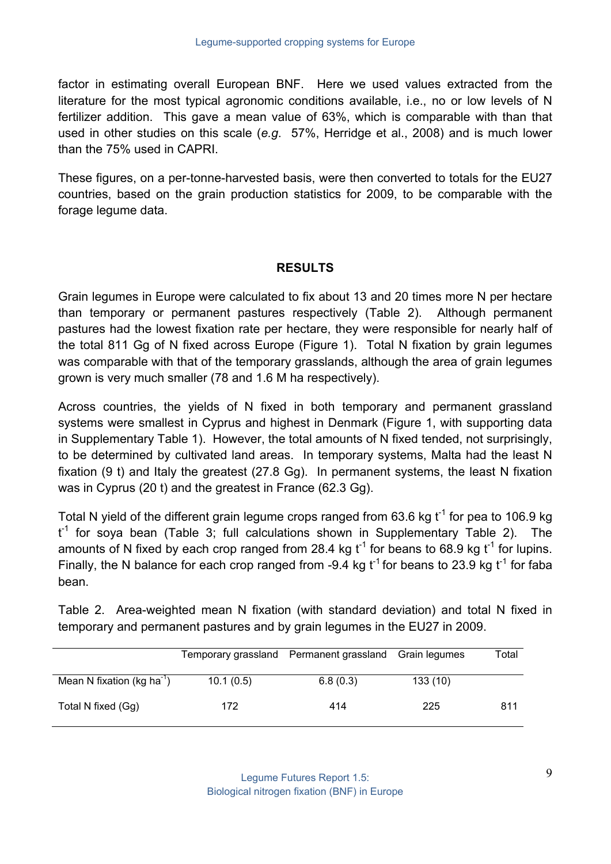factor in estimating overall European BNF. Here we used values extracted from the literature for the most typical agronomic conditions available, i.e., no or low levels of N fertilizer addition. This gave a mean value of 63%, which is comparable with than that used in other studies on this scale (*e.g*. 57%, Herridge et al., 2008) and is much lower than the 75% used in CAPRI.

These figures, on a per-tonne-harvested basis, were then converted to totals for the EU27 countries, based on the grain production statistics for 2009, to be comparable with the forage legume data.

## **RESULTS**

Grain legumes in Europe were calculated to fix about 13 and 20 times more N per hectare than temporary or permanent pastures respectively (Table 2). Although permanent pastures had the lowest fixation rate per hectare, they were responsible for nearly half of the total 811 Gg of N fixed across Europe (Figure 1). Total N fixation by grain legumes was comparable with that of the temporary grasslands, although the area of grain legumes grown is very much smaller (78 and 1.6 M ha respectively).

Across countries, the yields of N fixed in both temporary and permanent grassland systems were smallest in Cyprus and highest in Denmark (Figure 1, with supporting data in Supplementary Table 1). However, the total amounts of N fixed tended, not surprisingly, to be determined by cultivated land areas. In temporary systems, Malta had the least N fixation (9 t) and Italy the greatest (27.8 Gg). In permanent systems, the least N fixation was in Cyprus (20 t) and the greatest in France (62.3 Gg).

Total N yield of the different grain legume crops ranged from 63.6 kg  $t^{-1}$  for pea to 106.9 kg  $t^{-1}$  for soya bean (Table 3; full calculations shown in Supplementary Table 2). The amounts of N fixed by each crop ranged from 28.4 kg  $t^{-1}$  for beans to 68.9 kg  $t^{-1}$  for lupins. Finally, the N balance for each crop ranged from -9.4 kg  $t^{-1}$  for beans to 23.9 kg  $t^{-1}$  for faba bean.

Table 2. Area-weighted mean N fixation (with standard deviation) and total N fixed in temporary and permanent pastures and by grain legumes in the EU27 in 2009.

|                                        |           | Temporary grassland Permanent grassland | Grain legumes | Total |
|----------------------------------------|-----------|-----------------------------------------|---------------|-------|
| Mean N fixation (kg ha <sup>-1</sup> ) | 10.1(0.5) | 6.8(0.3)                                | 133(10)       |       |
| Total N fixed (Gg)                     | 172       | 414                                     | 225           | 811   |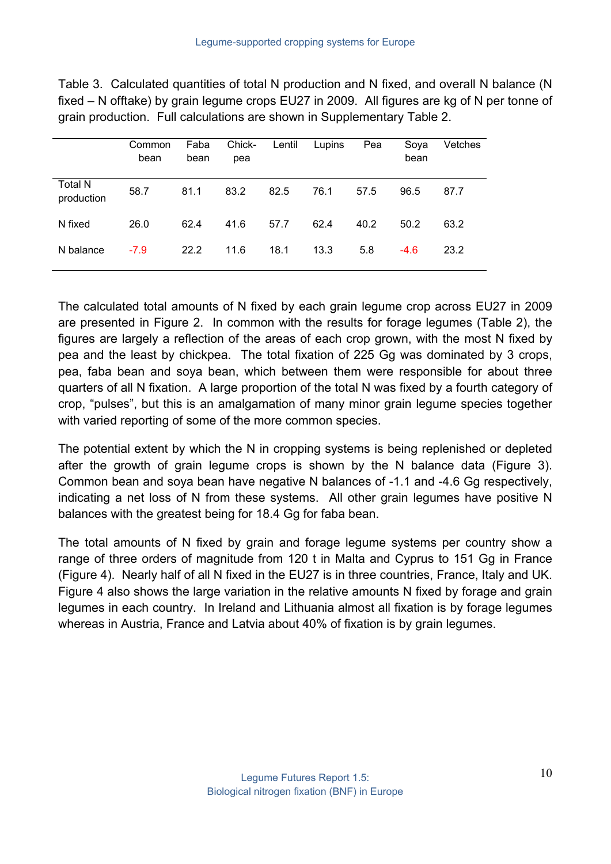Table 3. Calculated quantities of total N production and N fixed, and overall N balance (N fixed – N offtake) by grain legume crops EU27 in 2009. All figures are kg of N per tonne of grain production. Full calculations are shown in Supplementary Table 2.

|                              | Common<br>bean | Faba<br>bean | Chick-<br>pea | Lentil | Lupins | Pea  | Soya<br>bean | Vetches |
|------------------------------|----------------|--------------|---------------|--------|--------|------|--------------|---------|
| <b>Total N</b><br>production | 58.7           | 81.1         | 83.2          | 82.5   | 76.1   | 57.5 | 96.5         | 87.7    |
| N fixed                      | 26.0           | 62.4         | 41.6          | 57.7   | 62.4   | 40.2 | 50.2         | 63.2    |
| N balance                    | $-7.9$         | 22.2         | 11.6          | 18.1   | 13.3   | 5.8  | $-4.6$       | 23.2    |

The calculated total amounts of N fixed by each grain legume crop across EU27 in 2009 are presented in Figure 2. In common with the results for forage legumes (Table 2), the figures are largely a reflection of the areas of each crop grown, with the most N fixed by pea and the least by chickpea. The total fixation of 225 Gg was dominated by 3 crops, pea, faba bean and soya bean, which between them were responsible for about three quarters of all N fixation. A large proportion of the total N was fixed by a fourth category of crop, "pulses", but this is an amalgamation of many minor grain legume species together with varied reporting of some of the more common species.

The potential extent by which the N in cropping systems is being replenished or depleted after the growth of grain legume crops is shown by the N balance data (Figure 3). Common bean and soya bean have negative N balances of -1.1 and -4.6 Gg respectively, indicating a net loss of N from these systems. All other grain legumes have positive N balances with the greatest being for 18.4 Gg for faba bean.

The total amounts of N fixed by grain and forage legume systems per country show a range of three orders of magnitude from 120 t in Malta and Cyprus to 151 Gg in France (Figure 4). Nearly half of all N fixed in the EU27 is in three countries, France, Italy and UK. Figure 4 also shows the large variation in the relative amounts N fixed by forage and grain legumes in each country. In Ireland and Lithuania almost all fixation is by forage legumes whereas in Austria, France and Latvia about 40% of fixation is by grain legumes.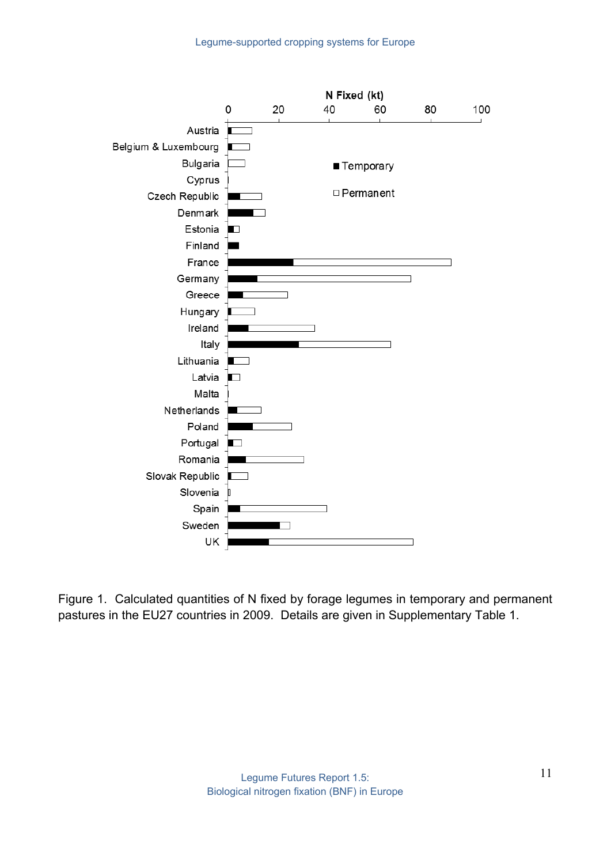

Figure 1. Calculated quantities of N fixed by forage legumes in temporary and permanent pastures in the EU27 countries in 2009. Details are given in Supplementary Table 1.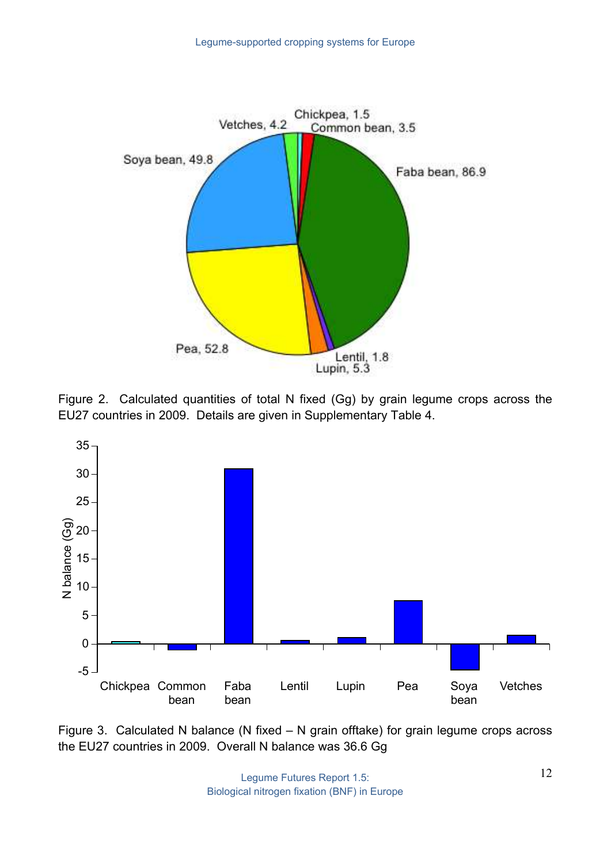

Figure 2. Calculated quantities of total N fixed (Gg) by grain legume crops across the EU27 countries in 2009. Details are given in Supplementary Table 4.



Figure 3. Calculated N balance (N fixed – N grain offtake) for grain legume crops across the EU27 countries in 2009. Overall N balance was 36.6 Gg

Legume Futures Report 1.5: Biological nitrogen fixation (BNF) in Europe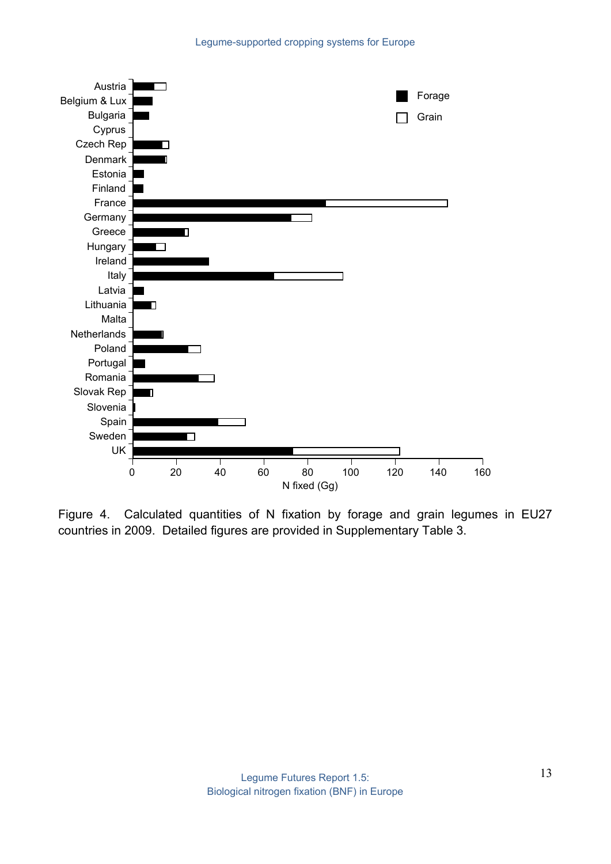

Figure 4. Calculated quantities of N fixation by forage and grain legumes in EU27 countries in 2009. Detailed figures are provided in Supplementary Table 3.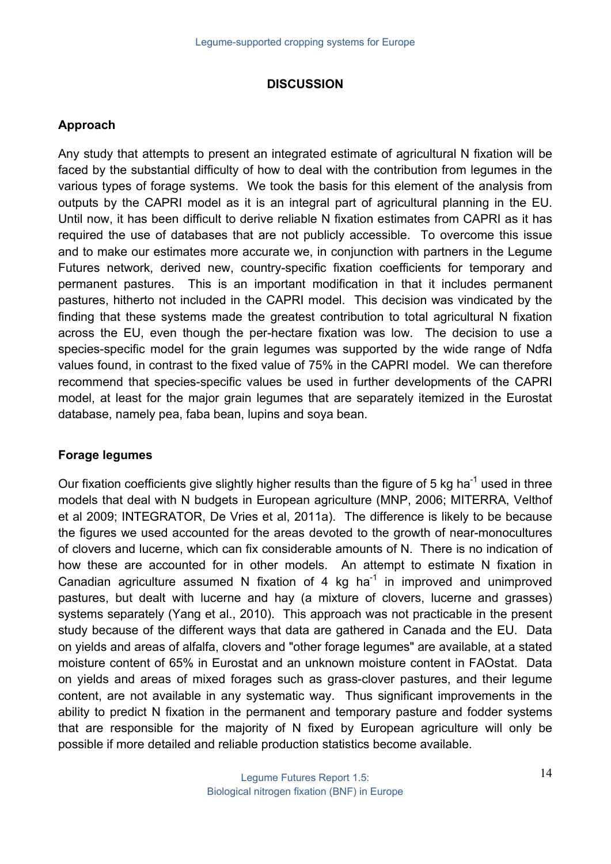#### **DISCUSSION**

## **Approach**

Any study that attempts to present an integrated estimate of agricultural N fixation will be faced by the substantial difficulty of how to deal with the contribution from legumes in the various types of forage systems. We took the basis for this element of the analysis from outputs by the CAPRI model as it is an integral part of agricultural planning in the EU. Until now, it has been difficult to derive reliable N fixation estimates from CAPRI as it has required the use of databases that are not publicly accessible. To overcome this issue and to make our estimates more accurate we, in conjunction with partners in the Legume Futures network, derived new, country-specific fixation coefficients for temporary and permanent pastures. This is an important modification in that it includes permanent pastures, hitherto not included in the CAPRI model. This decision was vindicated by the finding that these systems made the greatest contribution to total agricultural N fixation across the EU, even though the per-hectare fixation was low. The decision to use a species-specific model for the grain legumes was supported by the wide range of Ndfa values found, in contrast to the fixed value of 75% in the CAPRI model. We can therefore recommend that species-specific values be used in further developments of the CAPRI model, at least for the major grain legumes that are separately itemized in the Eurostat database, namely pea, faba bean, lupins and soya bean.

#### **Forage legumes**

Our fixation coefficients give slightly higher results than the figure of 5 kg ha<sup>-1</sup> used in three models that deal with N budgets in European agriculture (MNP, 2006; MITERRA, Velthof et al 2009; INTEGRATOR, De Vries et al, 2011a). The difference is likely to be because the figures we used accounted for the areas devoted to the growth of near-monocultures of clovers and lucerne, which can fix considerable amounts of N. There is no indication of how these are accounted for in other models. An attempt to estimate N fixation in Canadian agriculture assumed N fixation of 4 kg ha<sup>-1</sup> in improved and unimproved pastures, but dealt with lucerne and hay (a mixture of clovers, lucerne and grasses) systems separately (Yang et al., 2010). This approach was not practicable in the present study because of the different ways that data are gathered in Canada and the EU. Data on yields and areas of alfalfa, clovers and "other forage legumes" are available, at a stated moisture content of 65% in Eurostat and an unknown moisture content in FAOstat. Data on yields and areas of mixed forages such as grass-clover pastures, and their legume content, are not available in any systematic way. Thus significant improvements in the ability to predict N fixation in the permanent and temporary pasture and fodder systems that are responsible for the majority of N fixed by European agriculture will only be possible if more detailed and reliable production statistics become available.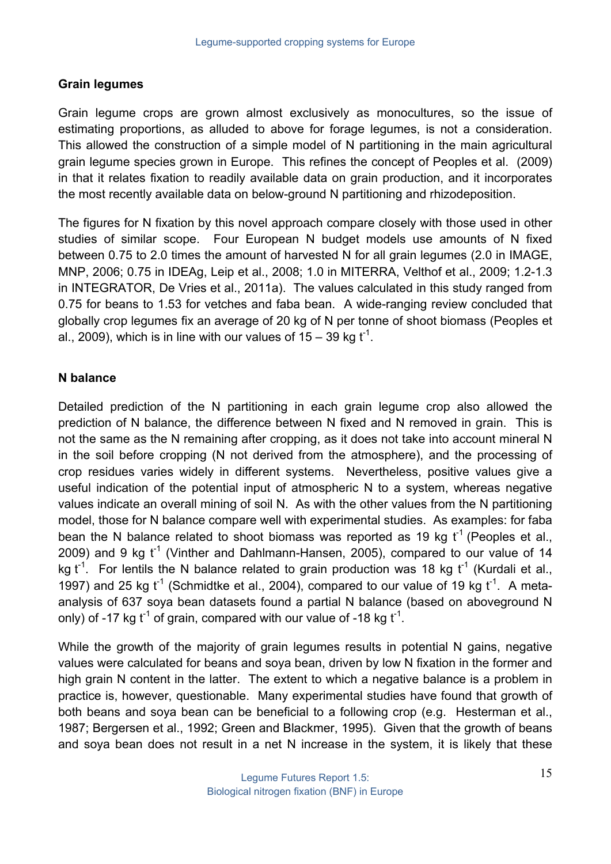#### **Grain legumes**

Grain legume crops are grown almost exclusively as monocultures, so the issue of estimating proportions, as alluded to above for forage legumes, is not a consideration. This allowed the construction of a simple model of N partitioning in the main agricultural grain legume species grown in Europe. This refines the concept of Peoples et al. (2009) in that it relates fixation to readily available data on grain production, and it incorporates the most recently available data on below-ground N partitioning and rhizodeposition.

The figures for N fixation by this novel approach compare closely with those used in other studies of similar scope. Four European N budget models use amounts of N fixed between 0.75 to 2.0 times the amount of harvested N for all grain legumes (2.0 in IMAGE, MNP, 2006; 0.75 in IDEAg, Leip et al., 2008; 1.0 in MITERRA, Velthof et al., 2009; 1.2-1.3 in INTEGRATOR, De Vries et al., 2011a). The values calculated in this study ranged from 0.75 for beans to 1.53 for vetches and faba bean. A wide-ranging review concluded that globally crop legumes fix an average of 20 kg of N per tonne of shoot biomass (Peoples et al., 2009), which is in line with our values of 15 – 39 kg  $\mathsf{t}^\mathsf{-1}.$ 

#### **N balance**

Detailed prediction of the N partitioning in each grain legume crop also allowed the prediction of N balance, the difference between N fixed and N removed in grain. This is not the same as the N remaining after cropping, as it does not take into account mineral N in the soil before cropping (N not derived from the atmosphere), and the processing of crop residues varies widely in different systems. Nevertheless, positive values give a useful indication of the potential input of atmospheric N to a system, whereas negative values indicate an overall mining of soil N. As with the other values from the N partitioning model, those for N balance compare well with experimental studies. As examples: for faba bean the N balance related to shoot biomass was reported as 19 kg  $t^{-1}$  (Peoples et al., 2009) and 9 kg  $t^{-1}$  (Vinther and Dahlmann-Hansen, 2005), compared to our value of 14 kg t<sup>-1</sup>. For lentils the N balance related to grain production was 18 kg t<sup>-1</sup> (Kurdali et al., 1997) and 25 kg  $t^{-1}$  (Schmidtke et al., 2004), compared to our value of 19 kg  $t^{-1}$ . A metaanalysis of 637 soya bean datasets found a partial N balance (based on aboveground N only) of -17 kg  $t^{-1}$  of grain, compared with our value of -18 kg  $t^{-1}$ .

While the growth of the majority of grain legumes results in potential N gains, negative values were calculated for beans and soya bean, driven by low N fixation in the former and high grain N content in the latter. The extent to which a negative balance is a problem in practice is, however, questionable. Many experimental studies have found that growth of both beans and soya bean can be beneficial to a following crop (e.g. Hesterman et al., 1987; Bergersen et al., 1992; Green and Blackmer, 1995). Given that the growth of beans and soya bean does not result in a net N increase in the system, it is likely that these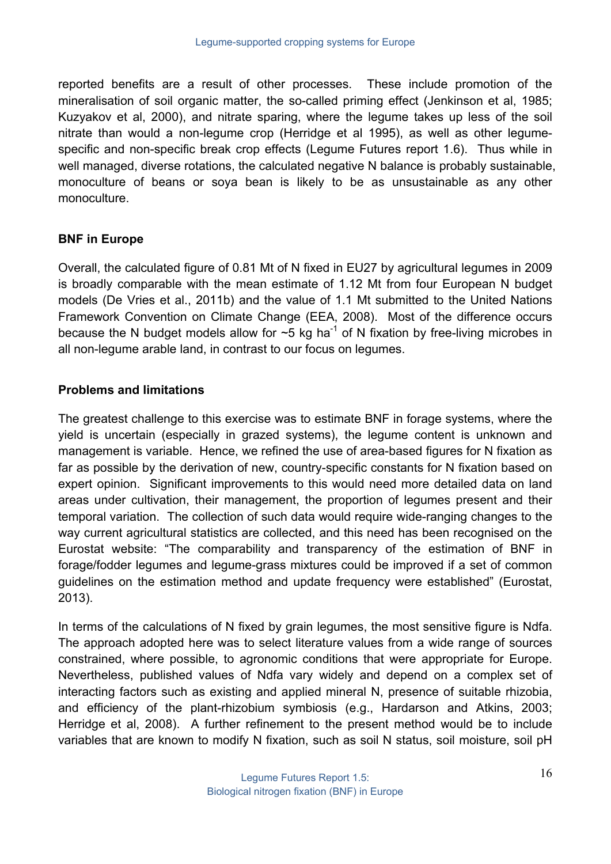reported benefits are a result of other processes. These include promotion of the mineralisation of soil organic matter, the so-called priming effect (Jenkinson et al, 1985; Kuzyakov et al, 2000), and nitrate sparing, where the legume takes up less of the soil nitrate than would a non-legume crop (Herridge et al 1995), as well as other legumespecific and non-specific break crop effects (Legume Futures report 1.6). Thus while in well managed, diverse rotations, the calculated negative N balance is probably sustainable, monoculture of beans or soya bean is likely to be as unsustainable as any other monoculture.

## **BNF in Europe**

Overall, the calculated figure of 0.81 Mt of N fixed in EU27 by agricultural legumes in 2009 is broadly comparable with the mean estimate of 1.12 Mt from four European N budget models (De Vries et al., 2011b) and the value of 1.1 Mt submitted to the United Nations Framework Convention on Climate Change (EEA, 2008). Most of the difference occurs because the N budget models allow for  $\sim$ 5 kg ha<sup>-1</sup> of N fixation by free-living microbes in all non-legume arable land, in contrast to our focus on legumes.

## **Problems and limitations**

The greatest challenge to this exercise was to estimate BNF in forage systems, where the yield is uncertain (especially in grazed systems), the legume content is unknown and management is variable. Hence, we refined the use of area-based figures for N fixation as far as possible by the derivation of new, country-specific constants for N fixation based on expert opinion. Significant improvements to this would need more detailed data on land areas under cultivation, their management, the proportion of legumes present and their temporal variation. The collection of such data would require wide-ranging changes to the way current agricultural statistics are collected, and this need has been recognised on the Eurostat website: "The comparability and transparency of the estimation of BNF in forage/fodder legumes and legume-grass mixtures could be improved if a set of common guidelines on the estimation method and update frequency were established" (Eurostat, 2013).

In terms of the calculations of N fixed by grain legumes, the most sensitive figure is Ndfa. The approach adopted here was to select literature values from a wide range of sources constrained, where possible, to agronomic conditions that were appropriate for Europe. Nevertheless, published values of Ndfa vary widely and depend on a complex set of interacting factors such as existing and applied mineral N, presence of suitable rhizobia, and efficiency of the plant-rhizobium symbiosis (e.g., Hardarson and Atkins, 2003; Herridge et al, 2008). A further refinement to the present method would be to include variables that are known to modify N fixation, such as soil N status, soil moisture, soil pH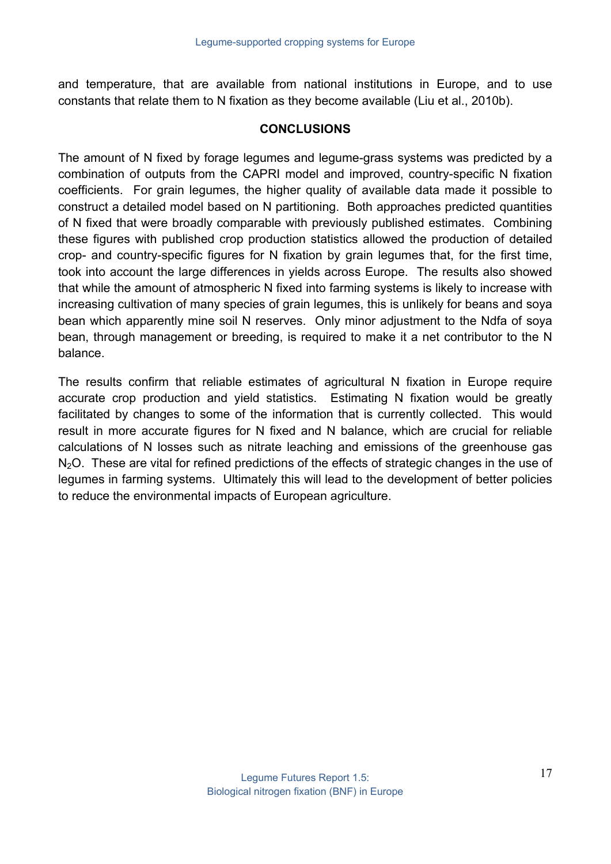and temperature, that are available from national institutions in Europe, and to use constants that relate them to N fixation as they become available (Liu et al., 2010b).

#### **CONCLUSIONS**

The amount of N fixed by forage legumes and legume-grass systems was predicted by a combination of outputs from the CAPRI model and improved, country-specific N fixation coefficients. For grain legumes, the higher quality of available data made it possible to construct a detailed model based on N partitioning. Both approaches predicted quantities of N fixed that were broadly comparable with previously published estimates. Combining these figures with published crop production statistics allowed the production of detailed crop- and country-specific figures for N fixation by grain legumes that, for the first time, took into account the large differences in yields across Europe. The results also showed that while the amount of atmospheric N fixed into farming systems is likely to increase with increasing cultivation of many species of grain legumes, this is unlikely for beans and soya bean which apparently mine soil N reserves. Only minor adjustment to the Ndfa of soya bean, through management or breeding, is required to make it a net contributor to the N balance.

The results confirm that reliable estimates of agricultural N fixation in Europe require accurate crop production and yield statistics. Estimating N fixation would be greatly facilitated by changes to some of the information that is currently collected. This would result in more accurate figures for N fixed and N balance, which are crucial for reliable calculations of N losses such as nitrate leaching and emissions of the greenhouse gas  $N<sub>2</sub>O$ . These are vital for refined predictions of the effects of strategic changes in the use of legumes in farming systems. Ultimately this will lead to the development of better policies to reduce the environmental impacts of European agriculture.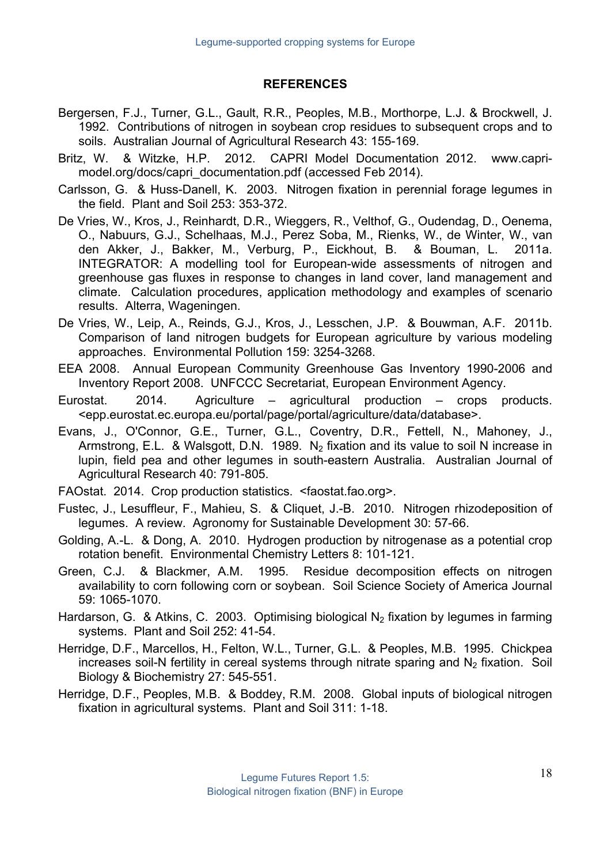## **REFERENCES**

- Bergersen, F.J., Turner, G.L., Gault, R.R., Peoples, M.B., Morthorpe, L.J. & Brockwell, J. 1992. Contributions of nitrogen in soybean crop residues to subsequent crops and to soils. Australian Journal of Agricultural Research 43: 155-169.
- Britz, W. & Witzke, H.P. 2012. CAPRI Model Documentation 2012. www.caprimodel.org/docs/capri\_documentation.pdf (accessed Feb 2014).
- Carlsson, G. & Huss-Danell, K. 2003. Nitrogen fixation in perennial forage legumes in the field. Plant and Soil 253: 353-372.
- De Vries, W., Kros, J., Reinhardt, D.R., Wieggers, R., Velthof, G., Oudendag, D., Oenema, O., Nabuurs, G.J., Schelhaas, M.J., Perez Soba, M., Rienks, W., de Winter, W., van den Akker, J., Bakker, M., Verburg, P., Eickhout, B. & Bouman, L. 2011a. INTEGRATOR: A modelling tool for European-wide assessments of nitrogen and greenhouse gas fluxes in response to changes in land cover, land management and climate. Calculation procedures, application methodology and examples of scenario results. Alterra, Wageningen.
- De Vries, W., Leip, A., Reinds, G.J., Kros, J., Lesschen, J.P. & Bouwman, A.F. 2011b. Comparison of land nitrogen budgets for European agriculture by various modeling approaches. Environmental Pollution 159: 3254-3268.
- EEA 2008. Annual European Community Greenhouse Gas Inventory 1990-2006 and Inventory Report 2008. UNFCCC Secretariat, European Environment Agency.
- Eurostat. 2014. Agriculture agricultural production crops products. <epp.eurostat.ec.europa.eu/portal/page/portal/agriculture/data/database>.
- Evans, J., O'Connor, G.E., Turner, G.L., Coventry, D.R., Fettell, N., Mahoney, J., Armstrong, E.L. & Walsgott, D.N. 1989. N<sub>2</sub> fixation and its value to soil N increase in lupin, field pea and other legumes in south-eastern Australia. Australian Journal of Agricultural Research 40: 791-805.
- FAOstat. 2014. Crop production statistics. <faostat.fao.org>.
- Fustec, J., Lesuffleur, F., Mahieu, S. & Cliquet, J.-B. 2010. Nitrogen rhizodeposition of legumes. A review. Agronomy for Sustainable Development 30: 57-66.
- Golding, A.-L. & Dong, A. 2010. Hydrogen production by nitrogenase as a potential crop rotation benefit. Environmental Chemistry Letters 8: 101-121.
- Green, C.J. & Blackmer, A.M. 1995. Residue decomposition effects on nitrogen availability to corn following corn or soybean. Soil Science Society of America Journal 59: 1065-1070.
- Hardarson, G. & Atkins, C. 2003. Optimising biological N<sub>2</sub> fixation by legumes in farming systems. Plant and Soil 252: 41-54.
- Herridge, D.F., Marcellos, H., Felton, W.L., Turner, G.L. & Peoples, M.B. 1995. Chickpea increases soil-N fertility in cereal systems through nitrate sparing and  $N_2$  fixation. Soil Biology & Biochemistry 27: 545-551.
- Herridge, D.F., Peoples, M.B. & Boddey, R.M. 2008. Global inputs of biological nitrogen fixation in agricultural systems. Plant and Soil 311: 1-18.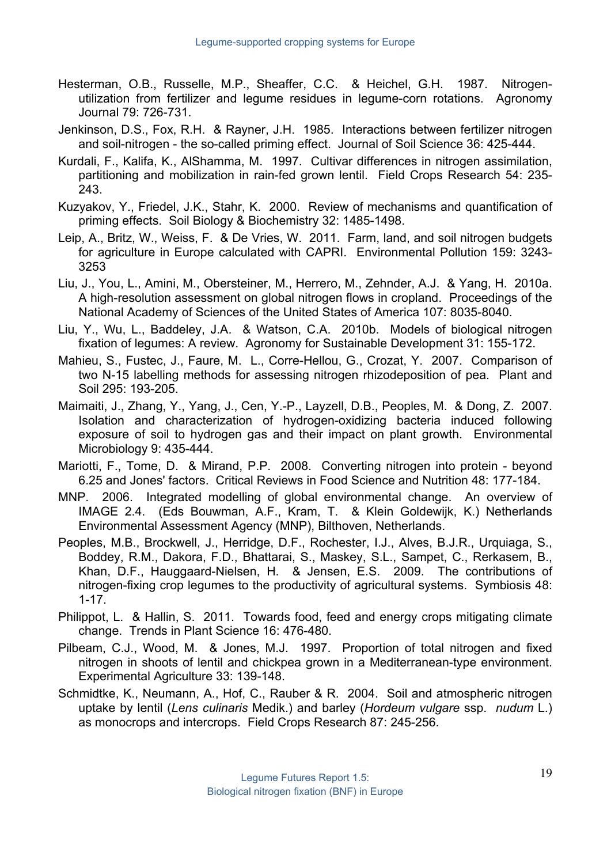- Hesterman, O.B., Russelle, M.P., Sheaffer, C.C. & Heichel, G.H. 1987. Nitrogenutilization from fertilizer and legume residues in legume-corn rotations. Agronomy Journal 79: 726-731.
- Jenkinson, D.S., Fox, R.H. & Rayner, J.H. 1985. Interactions between fertilizer nitrogen and soil-nitrogen - the so-called priming effect. Journal of Soil Science 36: 425-444.
- Kurdali, F., Kalifa, K., AlShamma, M. 1997. Cultivar differences in nitrogen assimilation, partitioning and mobilization in rain-fed grown lentil. Field Crops Research 54: 235- 243.
- Kuzyakov, Y., Friedel, J.K., Stahr, K. 2000. Review of mechanisms and quantification of priming effects. Soil Biology & Biochemistry 32: 1485-1498.
- Leip, A., Britz, W., Weiss, F. & De Vries, W. 2011. Farm, land, and soil nitrogen budgets for agriculture in Europe calculated with CAPRI. Environmental Pollution 159: 3243- 3253
- Liu, J., You, L., Amini, M., Obersteiner, M., Herrero, M., Zehnder, A.J. & Yang, H. 2010a. A high-resolution assessment on global nitrogen flows in cropland. Proceedings of the National Academy of Sciences of the United States of America 107: 8035-8040.
- Liu, Y., Wu, L., Baddeley, J.A. & Watson, C.A. 2010b. Models of biological nitrogen fixation of legumes: A review. Agronomy for Sustainable Development 31: 155-172.
- Mahieu, S., Fustec, J., Faure, M. L., Corre-Hellou, G., Crozat, Y. 2007. Comparison of two N-15 labelling methods for assessing nitrogen rhizodeposition of pea. Plant and Soil 295: 193-205.
- Maimaiti, J., Zhang, Y., Yang, J., Cen, Y.-P., Layzell, D.B., Peoples, M. & Dong, Z. 2007. Isolation and characterization of hydrogen-oxidizing bacteria induced following exposure of soil to hydrogen gas and their impact on plant growth. Environmental Microbiology 9: 435-444.
- Mariotti, F., Tome, D. & Mirand, P.P. 2008. Converting nitrogen into protein beyond 6.25 and Jones' factors. Critical Reviews in Food Science and Nutrition 48: 177-184.
- MNP. 2006. Integrated modelling of global environmental change. An overview of IMAGE 2.4. (Eds Bouwman, A.F., Kram, T. & Klein Goldewijk, K.) Netherlands Environmental Assessment Agency (MNP), Bilthoven, Netherlands.
- Peoples, M.B., Brockwell, J., Herridge, D.F., Rochester, I.J., Alves, B.J.R., Urquiaga, S., Boddey, R.M., Dakora, F.D., Bhattarai, S., Maskey, S.L., Sampet, C., Rerkasem, B., Khan, D.F., Hauggaard-Nielsen, H. & Jensen, E.S. 2009. The contributions of nitrogen-fixing crop legumes to the productivity of agricultural systems. Symbiosis 48: 1-17.
- Philippot, L. & Hallin, S. 2011. Towards food, feed and energy crops mitigating climate change. Trends in Plant Science 16: 476-480.
- Pilbeam, C.J., Wood, M. & Jones, M.J. 1997. Proportion of total nitrogen and fixed nitrogen in shoots of lentil and chickpea grown in a Mediterranean-type environment. Experimental Agriculture 33: 139-148.
- Schmidtke, K., Neumann, A., Hof, C., Rauber & R. 2004. Soil and atmospheric nitrogen uptake by lentil (*Lens culinaris* Medik.) and barley (*Hordeum vulgare* ssp. *nudum* L.) as monocrops and intercrops. Field Crops Research 87: 245-256.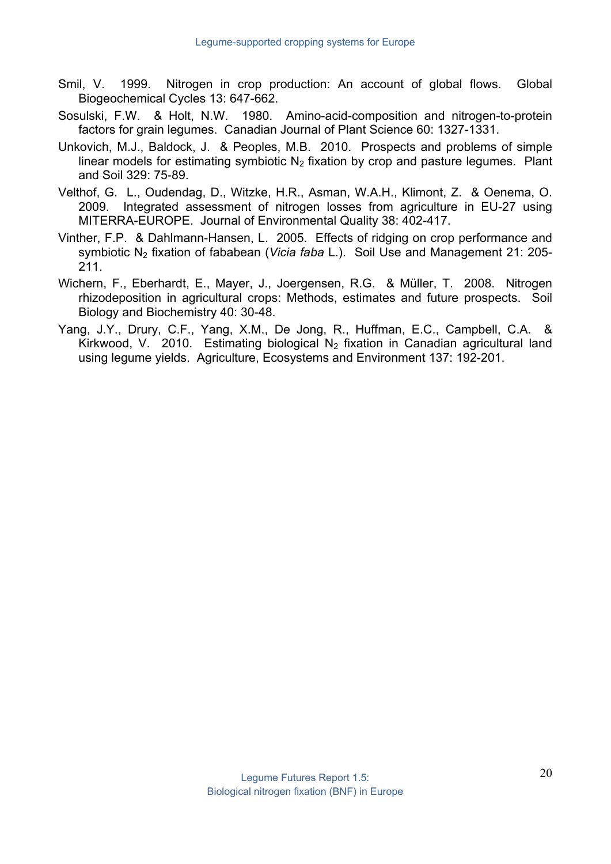- Smil, V. 1999. Nitrogen in crop production: An account of global flows. Global Biogeochemical Cycles 13: 647-662.
- Sosulski, F.W. & Holt, N.W. 1980. Amino-acid-composition and nitrogen-to-protein factors for grain legumes. Canadian Journal of Plant Science 60: 1327-1331.
- Unkovich, M.J., Baldock, J. & Peoples, M.B. 2010. Prospects and problems of simple linear models for estimating symbiotic  $N_2$  fixation by crop and pasture legumes. Plant and Soil 329: 75-89.
- Velthof, G. L., Oudendag, D., Witzke, H.R., Asman, W.A.H., Klimont, Z. & Oenema, O. 2009. Integrated assessment of nitrogen losses from agriculture in EU-27 using MITERRA-EUROPE. Journal of Environmental Quality 38: 402-417.
- Vinther, F.P. & Dahlmann-Hansen, L. 2005. Effects of ridging on crop performance and symbiotic N2 fixation of fababean (*Vicia faba* L.). Soil Use and Management 21: 205- 211.
- Wichern, F., Eberhardt, E., Mayer, J., Joergensen, R.G. & Müller, T. 2008. Nitrogen rhizodeposition in agricultural crops: Methods, estimates and future prospects. Soil Biology and Biochemistry 40: 30-48.
- Yang, J.Y., Drury, C.F., Yang, X.M., De Jong, R., Huffman, E.C., Campbell, C.A. & Kirkwood, V. 2010. Estimating biological N<sub>2</sub> fixation in Canadian agricultural land using legume yields. Agriculture, Ecosystems and Environment 137: 192-201.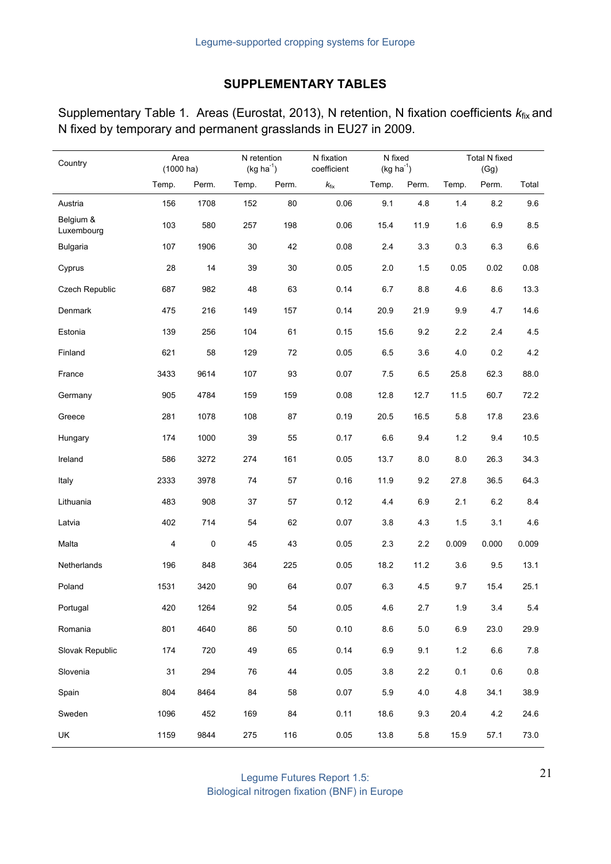# **SUPPLEMENTARY TABLES**

| Supplementary Table 1. Areas (Eurostat, 2013), N retention, N fixation coefficients $k_{fix}$ and |  |  |  |
|---------------------------------------------------------------------------------------------------|--|--|--|
| N fixed by temporary and permanent grasslands in EU27 in 2009.                                    |  |  |  |

| Country                 | Area<br>$(1000 \text{ ha})$ |           | N retention<br>$(kg ha^{-1})$ |       | N fixation<br>coefficient | N fixed<br>$(kg ha^{-1})$ |         | <b>Total N fixed</b><br>(Gg) |         |         |
|-------------------------|-----------------------------|-----------|-------------------------------|-------|---------------------------|---------------------------|---------|------------------------------|---------|---------|
|                         | Temp.                       | Perm.     | Temp.                         | Perm. | $k_{\rm fix}$             | Temp.                     | Perm.   | Temp.                        | Perm.   | Total   |
| Austria                 | 156                         | 1708      | 152                           | 80    | 0.06                      | 9.1                       | 4.8     | 1.4                          | 8.2     | 9.6     |
| Belgium &<br>Luxembourg | 103                         | 580       | 257                           | 198   | 0.06                      | 15.4                      | 11.9    | 1.6                          | 6.9     | 8.5     |
| <b>Bulgaria</b>         | 107                         | 1906      | 30                            | 42    | 0.08                      | 2.4                       | 3.3     | 0.3                          | 6.3     | $6.6\,$ |
| Cyprus                  | 28                          | 14        | 39                            | 30    | 0.05                      | 2.0                       | 1.5     | 0.05                         | 0.02    | 0.08    |
| Czech Republic          | 687                         | 982       | 48                            | 63    | 0.14                      | 6.7                       | 8.8     | 4.6                          | 8.6     | 13.3    |
| Denmark                 | 475                         | 216       | 149                           | 157   | 0.14                      | 20.9                      | 21.9    | 9.9                          | 4.7     | 14.6    |
| Estonia                 | 139                         | 256       | 104                           | 61    | 0.15                      | 15.6                      | 9.2     | 2.2                          | 2.4     | 4.5     |
| Finland                 | 621                         | 58        | 129                           | 72    | 0.05                      | 6.5                       | 3.6     | 4.0                          | 0.2     | 4.2     |
| France                  | 3433                        | 9614      | 107                           | 93    | 0.07                      | 7.5                       | 6.5     | 25.8                         | 62.3    | 88.0    |
| Germany                 | 905                         | 4784      | 159                           | 159   | 0.08                      | 12.8                      | 12.7    | 11.5                         | 60.7    | 72.2    |
| Greece                  | 281                         | 1078      | 108                           | 87    | 0.19                      | 20.5                      | 16.5    | 5.8                          | 17.8    | 23.6    |
| Hungary                 | 174                         | 1000      | 39                            | 55    | 0.17                      | 6.6                       | 9.4     | $1.2$                        | 9.4     | 10.5    |
| Ireland                 | 586                         | 3272      | 274                           | 161   | 0.05                      | 13.7                      | 8.0     | 8.0                          | 26.3    | 34.3    |
| Italy                   | 2333                        | 3978      | 74                            | 57    | 0.16                      | 11.9                      | 9.2     | 27.8                         | 36.5    | 64.3    |
| Lithuania               | 483                         | 908       | 37                            | 57    | 0.12                      | 4.4                       | 6.9     | 2.1                          | 6.2     | 8.4     |
| Latvia                  | 402                         | 714       | 54                            | 62    | 0.07                      | 3.8                       | 4.3     | 1.5                          | 3.1     | 4.6     |
| Malta                   | 4                           | $\pmb{0}$ | 45                            | 43    | 0.05                      | 2.3                       | 2.2     | 0.009                        | 0.000   | 0.009   |
| Netherlands             | 196                         | 848       | 364                           | 225   | 0.05                      | 18.2                      | 11.2    | 3.6                          | 9.5     | 13.1    |
| Poland                  | 1531                        | 3420      | 90                            | 64    | 0.07                      | 6.3                       | 4.5     | 9.7                          | 15.4    | 25.1    |
| Portugal                | 420                         | 1264      | 92                            | 54    | $0.05\,$                  | 4.6                       | 2.7     | 1.9                          | 3.4     | 5.4     |
| Romania                 | 801                         | 4640      | 86                            | 50    | 0.10                      | $8.6\,$                   | $5.0\,$ | $6.9\,$                      | 23.0    | 29.9    |
| Slovak Republic         | 174                         | 720       | 49                            | 65    | 0.14                      | 6.9                       | 9.1     | $1.2$                        | $6.6\,$ | $7.8$   |
| Slovenia                | 31                          | 294       | ${\bf 76}$                    | 44    | 0.05                      | 3.8                       | $2.2\,$ | 0.1                          | $0.6\,$ | $0.8\,$ |
| Spain                   | 804                         | 8464      | 84                            | 58    | 0.07                      | 5.9                       | $4.0$   | 4.8                          | 34.1    | 38.9    |
| Sweden                  | 1096                        | 452       | 169                           | 84    | 0.11                      | 18.6                      | 9.3     | 20.4                         | 4.2     | 24.6    |
| UK                      | 1159                        | 9844      | 275                           | 116   | 0.05                      | 13.8                      | 5.8     | 15.9                         | 57.1    | 73.0    |

Legume Futures Report 1.5: Biological nitrogen fixation (BNF) in Europe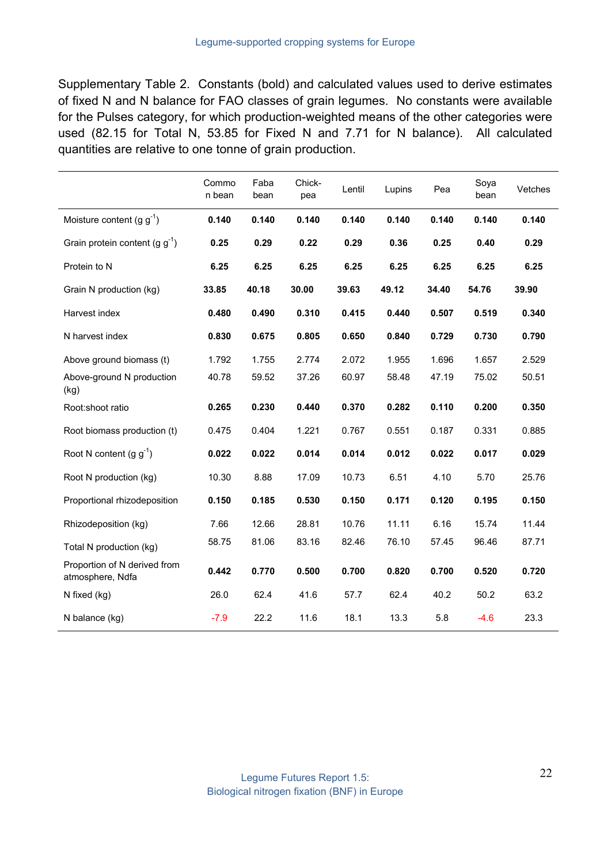Supplementary Table 2. Constants (bold) and calculated values used to derive estimates of fixed N and N balance for FAO classes of grain legumes. No constants were available for the Pulses category, for which production-weighted means of the other categories were used (82.15 for Total N, 53.85 for Fixed N and 7.71 for N balance). All calculated quantities are relative to one tonne of grain production.

|                                                  | Commo<br>n bean | Faba<br>bean | Chick-<br>pea | Lentil | Lupins | Pea   | Soya<br>bean | Vetches |
|--------------------------------------------------|-----------------|--------------|---------------|--------|--------|-------|--------------|---------|
| Moisture content (g $g^{-1}$ )                   | 0.140           | 0.140        | 0.140         | 0.140  | 0.140  | 0.140 | 0.140        | 0.140   |
| Grain protein content (g $g^{-1}$ )              | 0.25            | 0.29         | 0.22          | 0.29   | 0.36   | 0.25  | 0.40         | 0.29    |
| Protein to N                                     | 6.25            | 6.25         | 6.25          | 6.25   | 6.25   | 6.25  | 6.25         | 6.25    |
| Grain N production (kg)                          | 33.85           | 40.18        | 30.00         | 39.63  | 49.12  | 34.40 | 54.76        | 39.90   |
| Harvest index                                    | 0.480           | 0.490        | 0.310         | 0.415  | 0.440  | 0.507 | 0.519        | 0.340   |
| N harvest index                                  | 0.830           | 0.675        | 0.805         | 0.650  | 0.840  | 0.729 | 0.730        | 0.790   |
| Above ground biomass (t)                         | 1.792           | 1.755        | 2.774         | 2.072  | 1.955  | 1.696 | 1.657        | 2.529   |
| Above-ground N production<br>(kg)                | 40.78           | 59.52        | 37.26         | 60.97  | 58.48  | 47.19 | 75.02        | 50.51   |
| Root:shoot ratio                                 | 0.265           | 0.230        | 0.440         | 0.370  | 0.282  | 0.110 | 0.200        | 0.350   |
| Root biomass production (t)                      | 0.475           | 0.404        | 1.221         | 0.767  | 0.551  | 0.187 | 0.331        | 0.885   |
| Root N content $(g g^{-1})$                      | 0.022           | 0.022        | 0.014         | 0.014  | 0.012  | 0.022 | 0.017        | 0.029   |
| Root N production (kg)                           | 10.30           | 8.88         | 17.09         | 10.73  | 6.51   | 4.10  | 5.70         | 25.76   |
| Proportional rhizodeposition                     | 0.150           | 0.185        | 0.530         | 0.150  | 0.171  | 0.120 | 0.195        | 0.150   |
| Rhizodeposition (kg)                             | 7.66            | 12.66        | 28.81         | 10.76  | 11.11  | 6.16  | 15.74        | 11.44   |
| Total N production (kg)                          | 58.75           | 81.06        | 83.16         | 82.46  | 76.10  | 57.45 | 96.46        | 87.71   |
| Proportion of N derived from<br>atmosphere, Ndfa | 0.442           | 0.770        | 0.500         | 0.700  | 0.820  | 0.700 | 0.520        | 0.720   |
| N fixed (kg)                                     | 26.0            | 62.4         | 41.6          | 57.7   | 62.4   | 40.2  | 50.2         | 63.2    |
| N balance (kg)                                   | $-7.9$          | 22.2         | 11.6          | 18.1   | 13.3   | 5.8   | $-4.6$       | 23.3    |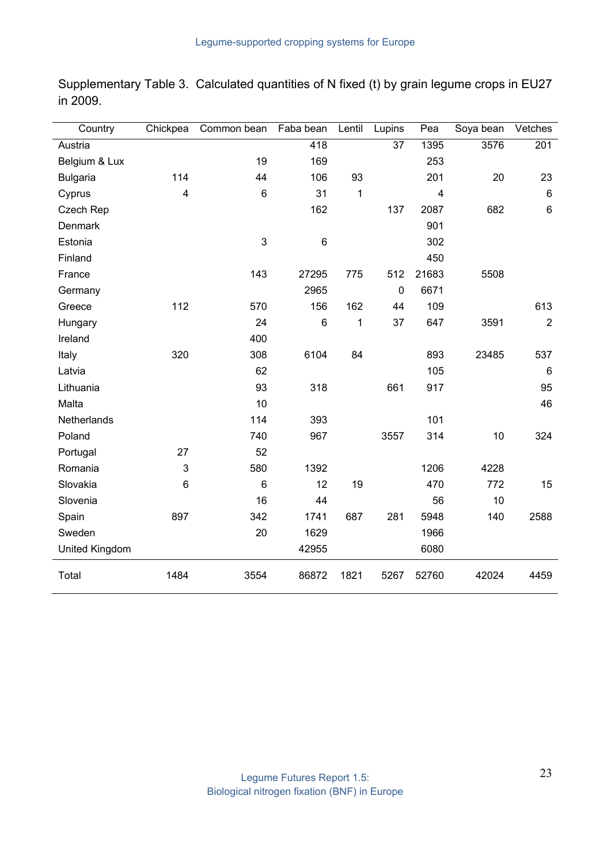| Country         | Chickpea                | Common bean | Faba bean | Lentil       | Lupins          | Pea            | Soya bean | Vetches        |
|-----------------|-------------------------|-------------|-----------|--------------|-----------------|----------------|-----------|----------------|
| Austria         |                         |             | 418       |              | $\overline{37}$ | 1395           | 3576      | 201            |
| Belgium & Lux   |                         | 19          | 169       |              |                 | 253            |           |                |
| <b>Bulgaria</b> | 114                     | 44          | 106       | 93           |                 | 201            | 20        | 23             |
| Cyprus          | $\overline{\mathbf{4}}$ | $\,6\,$     | 31        | $\mathbf{1}$ |                 | $\overline{4}$ |           | $\,6$          |
| Czech Rep       |                         |             | 162       |              | 137             | 2087           | 682       | $6\phantom{1}$ |
| Denmark         |                         |             |           |              |                 | 901            |           |                |
| Estonia         |                         | 3           | $\,6$     |              |                 | 302            |           |                |
| Finland         |                         |             |           |              |                 | 450            |           |                |
| France          |                         | 143         | 27295     | 775          | 512             | 21683          | 5508      |                |
| Germany         |                         |             | 2965      |              | $\mathbf 0$     | 6671           |           |                |
| Greece          | 112                     | 570         | 156       | 162          | 44              | 109            |           | 613            |
| Hungary         |                         | 24          | $\,6$     | 1            | 37              | 647            | 3591      | $\overline{2}$ |
| Ireland         |                         | 400         |           |              |                 |                |           |                |
| Italy           | 320                     | 308         | 6104      | 84           |                 | 893            | 23485     | 537            |
| Latvia          |                         | 62          |           |              |                 | 105            |           | $\,6\,$        |
| Lithuania       |                         | 93          | 318       |              | 661             | 917            |           | 95             |
| Malta           |                         | 10          |           |              |                 |                |           | 46             |
| Netherlands     |                         | 114         | 393       |              |                 | 101            |           |                |
| Poland          |                         | 740         | 967       |              | 3557            | 314            | 10        | 324            |
| Portugal        | 27                      | 52          |           |              |                 |                |           |                |
| Romania         | 3                       | 580         | 1392      |              |                 | 1206           | 4228      |                |
| Slovakia        | 6                       | 6           | 12        | 19           |                 | 470            | 772       | 15             |
| Slovenia        |                         | 16          | 44        |              |                 | 56             | 10        |                |
| Spain           | 897                     | 342         | 1741      | 687          | 281             | 5948           | 140       | 2588           |
| Sweden          |                         | 20          | 1629      |              |                 | 1966           |           |                |
| United Kingdom  |                         |             | 42955     |              |                 | 6080           |           |                |
| Total           | 1484                    | 3554        | 86872     | 1821         | 5267            | 52760          | 42024     | 4459           |

Supplementary Table 3. Calculated quantities of N fixed (t) by grain legume crops in EU27 in 2009.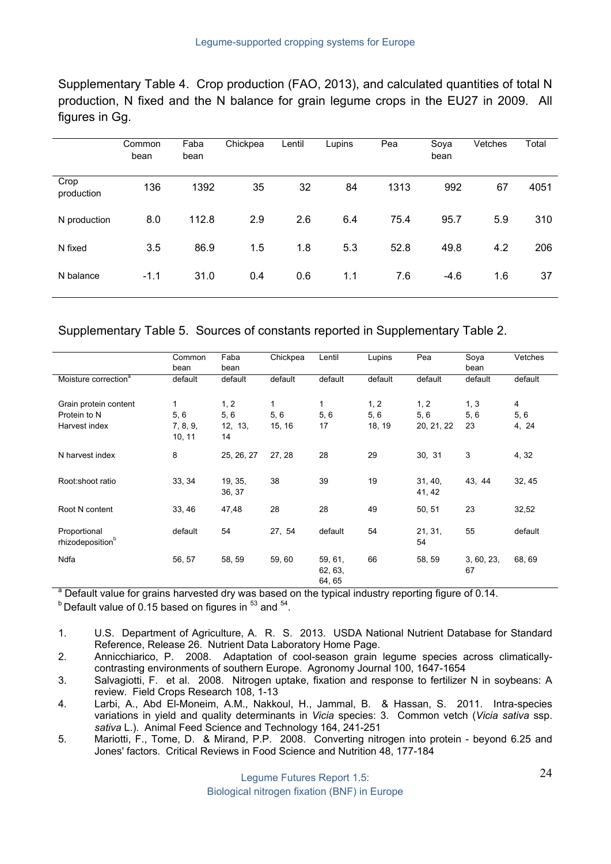Supplementary Table 4. Crop production (FAO, 2013), and calculated quantities of total N production, N fixed and the N balance for grain legume crops in the EU27 in 2009. All figures in Gg.

|                    | Common<br>bean | Faba<br>bean | Chickpea | Lentil | Lupins | Pea  | Soya<br>bean | Vetches | Total |
|--------------------|----------------|--------------|----------|--------|--------|------|--------------|---------|-------|
| Crop<br>production | 136            | 1392         | 35       | 32     | 84     | 1313 | 992          | 67      | 4051  |
| N production       | 8.0            | 112.8        | 2.9      | 2.6    | 6.4    | 75.4 | 95.7         | 5.9     | 310   |
| N fixed            | 3.5            | 86.9         | 1.5      | 1.8    | 5.3    | 52.8 | 49.8         | 4.2     | 206   |
| N balance          | $-1.1$         | 31.0         | 0.4      | 0.6    | 1.1    | 7.6  | $-4.6$       | 1.6     | 37    |

Supplementary Table 5. Sources of constants reported in Supplementary Table 2.

|                                                        | Common<br>bean                  | Faba<br>bean                 | Chickpea           | Lentil                       | Lupins                | Pea                       | Soya<br>bean      | Vetches           |
|--------------------------------------------------------|---------------------------------|------------------------------|--------------------|------------------------------|-----------------------|---------------------------|-------------------|-------------------|
| Moisture correction <sup>a</sup>                       | default                         | default                      | default            | default                      | default               | default                   | default           | default           |
| Grain protein content<br>Protein to N<br>Harvest index | 1<br>5, 6<br>7, 8, 9,<br>10, 11 | 1, 2<br>5,6<br>12, 13,<br>14 | 1<br>5,6<br>15, 16 | 1<br>5,6<br>17               | 1, 2<br>5,6<br>18, 19 | 1, 2<br>5,6<br>20, 21, 22 | 1, 3<br>5,6<br>23 | 4<br>5,6<br>4, 24 |
| N harvest index                                        | 8                               | 25, 26, 27                   | 27, 28             | 28                           | 29                    | 30, 31                    | 3                 | 4, 32             |
| Root:shoot ratio                                       | 33, 34                          | 19, 35,<br>36, 37            | 38                 | 39                           | 19                    | 31, 40,<br>41, 42         | 43, 44            | 32, 45            |
| Root N content                                         | 33, 46                          | 47,48                        | 28                 | 28                           | 49                    | 50, 51                    | 23                | 32,52             |
| Proportional<br>rhizodeposition <sup>b</sup>           | default                         | 54                           | 27, 54             | default                      | 54                    | 21, 31,<br>54             | 55                | default           |
| Ndfa                                                   | 56, 57                          | 58, 59                       | 59,60              | 59, 61,<br>62, 63,<br>64, 65 | 66                    | 58, 59                    | 3, 60, 23,<br>67  | 68, 69            |

<sup>a</sup> Default value for grains harvested dry was based on the typical industry reporting figure of 0.14. b Default value of 0.15 based on figures in  $^{53}$  and  $^{54}$ .

- 1. U.S. Department of Agriculture, A. R. S. 2013. USDA National Nutrient Database for Standard Reference, Release 26. Nutrient Data Laboratory Home Page.
- 2. Annicchiarico, P. 2008. Adaptation of cool-season grain legume species across climaticallycontrasting environments of southern Europe. Agronomy Journal 100, 1647-1654
- 3. Salvagiotti, F. et al. 2008. Nitrogen uptake, fixation and response to fertilizer N in soybeans: A review. Field Crops Research 108, 1-13
- 4. Larbi, A., Abd El-Moneim, A.M., Nakkoul, H., Jammal, B. & Hassan, S. 2011. Intra-species variations in yield and quality determinants in *Vicia* species: 3. Common vetch (*Vicia sativa* ssp. *sativa* L.). Animal Feed Science and Technology 164, 241-251
- 5. Mariotti, F., Tome, D. & Mirand, P.P. 2008. Converting nitrogen into protein beyond 6.25 and Jones' factors. Critical Reviews in Food Science and Nutrition 48, 177-184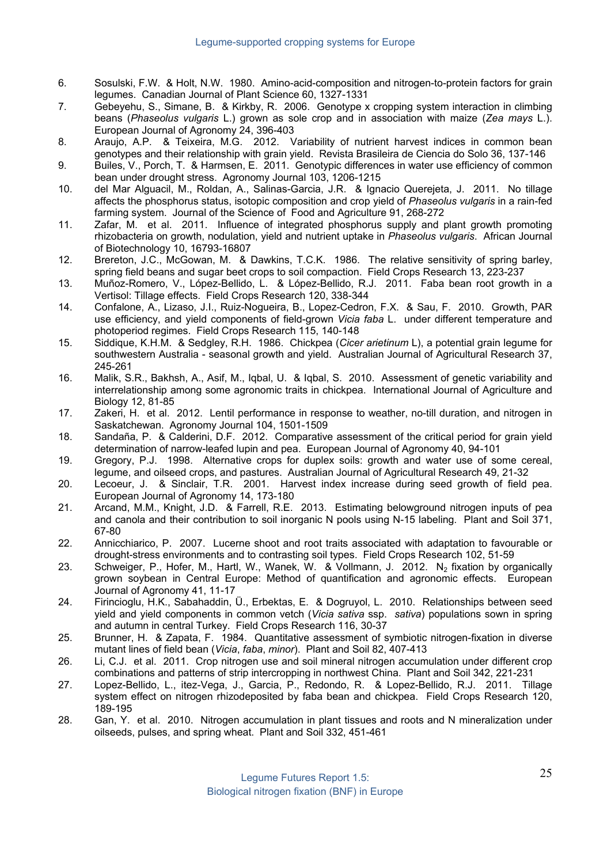- 6. Sosulski, F.W. & Holt, N.W. 1980. Amino-acid-composition and nitrogen-to-protein factors for grain legumes. Canadian Journal of Plant Science 60, 1327-1331
- 7. Gebeyehu, S., Simane, B. & Kirkby, R. 2006. Genotype x cropping system interaction in climbing beans (*Phaseolus vulgaris* L.) grown as sole crop and in association with maize (*Zea mays* L.). European Journal of Agronomy 24, 396-403
- 8. Araujo, A.P. & Teixeira, M.G. 2012. Variability of nutrient harvest indices in common bean genotypes and their relationship with grain yield. Revista Brasileira de Ciencia do Solo 36, 137-146
- 9. Builes, V., Porch, T. & Harmsen, E. 2011. Genotypic differences in water use efficiency of common bean under drought stress. Agronomy Journal 103, 1206-1215
- 10. del Mar Alguacil, M., Roldan, A., Salinas-Garcia, J.R. & Ignacio Querejeta, J. 2011. No tillage affects the phosphorus status, isotopic composition and crop yield of *Phaseolus vulgaris* in a rain-fed farming system. Journal of the Science of Food and Agriculture 91, 268-272
- 11. Zafar, M. et al. 2011. Influence of integrated phosphorus supply and plant growth promoting rhizobacteria on growth, nodulation, yield and nutrient uptake in *Phaseolus vulgaris*. African Journal of Biotechnology 10, 16793-16807
- 12. Brereton, J.C., McGowan, M. & Dawkins, T.C.K. 1986. The relative sensitivity of spring barley, spring field beans and sugar beet crops to soil compaction. Field Crops Research 13, 223-237
- 13. Muñoz-Romero, V., López-Bellido, L. & López-Bellido, R.J. 2011. Faba bean root growth in a Vertisol: Tillage effects. Field Crops Research 120, 338-344
- 14. Confalone, A., Lizaso, J.I., Ruiz-Nogueira, B., Lopez-Cedron, F.X. & Sau, F. 2010. Growth, PAR use efficiency, and yield components of field-grown *Vicia faba* L. under different temperature and photoperiod regimes. Field Crops Research 115, 140-148
- 15. Siddique, K.H.M. & Sedgley, R.H. 1986. Chickpea (*Cicer arietinum* L), a potential grain legume for southwestern Australia - seasonal growth and yield. Australian Journal of Agricultural Research 37, 245-261
- 16. Malik, S.R., Bakhsh, A., Asif, M., Iqbal, U. & Iqbal, S. 2010. Assessment of genetic variability and interrelationship among some agronomic traits in chickpea. International Journal of Agriculture and Biology 12, 81-85
- 17. Zakeri, H. et al. 2012. Lentil performance in response to weather, no-till duration, and nitrogen in Saskatchewan. Agronomy Journal 104, 1501-1509
- 18. Sandaña, P. & Calderini, D.F. 2012. Comparative assessment of the critical period for grain yield determination of narrow-leafed lupin and pea. European Journal of Agronomy 40, 94-101
- 19. Gregory, P.J. 1998. Alternative crops for duplex soils: growth and water use of some cereal, legume, and oilseed crops, and pastures. Australian Journal of Agricultural Research 49, 21-32
- 20. Lecoeur, J. & Sinclair, T.R. 2001. Harvest index increase during seed growth of field pea. European Journal of Agronomy 14, 173-180
- 21. Arcand, M.M., Knight, J.D. & Farrell, R.E. 2013. Estimating belowground nitrogen inputs of pea and canola and their contribution to soil inorganic N pools using N-15 labeling. Plant and Soil 371, 67-80
- 22. Annicchiarico, P. 2007. Lucerne shoot and root traits associated with adaptation to favourable or drought-stress environments and to contrasting soil types. Field Crops Research 102, 51-59
- 23. Schweiger, P., Hofer, M., Hartl, W., Wanek, W. & Vollmann, J. 2012. N<sub>2</sub> fixation by organically grown soybean in Central Europe: Method of quantification and agronomic effects. European Journal of Agronomy 41, 11-17
- 24. Firincioglu, H.K., Sabahaddin, Ü., Erbektas, E. & Dogruyol, L. 2010. Relationships between seed yield and yield components in common vetch (*Vicia sativa* ssp. *sativa*) populations sown in spring and autumn in central Turkey. Field Crops Research 116, 30-37
- 25. Brunner, H. & Zapata, F. 1984. Quantitative assessment of symbiotic nitrogen-fixation in diverse mutant lines of field bean (*Vicia*, *faba*, *minor*). Plant and Soil 82, 407-413
- 26. Li, C.J. et al. 2011. Crop nitrogen use and soil mineral nitrogen accumulation under different crop combinations and patterns of strip intercropping in northwest China. Plant and Soil 342, 221-231
- 27. Lopez-Bellido, L., itez-Vega, J., Garcia, P., Redondo, R. & Lopez-Bellido, R.J. 2011. Tillage system effect on nitrogen rhizodeposited by faba bean and chickpea. Field Crops Research 120, 189-195
- 28. Gan, Y. et al. 2010. Nitrogen accumulation in plant tissues and roots and N mineralization under oilseeds, pulses, and spring wheat. Plant and Soil 332, 451-461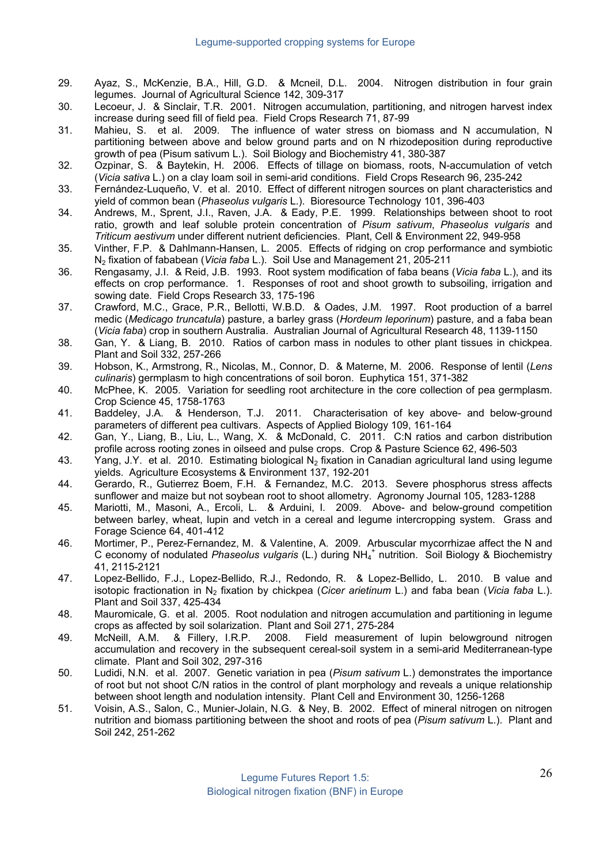- 29. Ayaz, S., McKenzie, B.A., Hill, G.D. & Mcneil, D.L. 2004. Nitrogen distribution in four grain legumes. Journal of Agricultural Science 142, 309-317
- 30. Lecoeur, J. & Sinclair, T.R. 2001. Nitrogen accumulation, partitioning, and nitrogen harvest index increase during seed fill of field pea. Field Crops Research 71, 87-99
- 31. Mahieu, S. et al. 2009. The influence of water stress on biomass and N accumulation, N partitioning between above and below ground parts and on N rhizodeposition during reproductive growth of pea (Pisum sativum L.). Soil Biology and Biochemistry 41, 380-387
- 32. Ozpinar, S. & Baytekin, H. 2006. Effects of tillage on biomass, roots, N-accumulation of vetch (*Vicia sativa* L.) on a clay loam soil in semi-arid conditions. Field Crops Research 96, 235-242
- 33. Fernández-Luqueño, V. et al. 2010. Effect of different nitrogen sources on plant characteristics and yield of common bean (*Phaseolus vulgaris* L.). Bioresource Technology 101, 396-403
- 34. Andrews, M., Sprent, J.I., Raven, J.A. & Eady, P.E. 1999. Relationships between shoot to root ratio, growth and leaf soluble protein concentration of *Pisum sativum*, *Phaseolus vulgaris* and *Triticum aestivum* under different nutrient deficiencies. Plant, Cell & Environment 22, 949-958
- 35. Vinther, F.P. & Dahlmann-Hansen, L. 2005. Effects of ridging on crop performance and symbiotic N2 fixation of fababean (*Vicia faba* L.). Soil Use and Management 21, 205-211
- 36. Rengasamy, J.I. & Reid, J.B. 1993. Root system modification of faba beans (*Vicia faba* L.), and its effects on crop performance. 1. Responses of root and shoot growth to subsoiling, irrigation and sowing date. Field Crops Research 33, 175-196
- 37. Crawford, M.C., Grace, P.R., Bellotti, W.B.D. & Oades, J.M. 1997. Root production of a barrel medic (*Medicago truncatula*) pasture, a barley grass (*Hordeum leporinum*) pasture, and a faba bean (*Vicia faba*) crop in southern Australia. Australian Journal of Agricultural Research 48, 1139-1150
- 38. Gan, Y. & Liang, B. 2010. Ratios of carbon mass in nodules to other plant tissues in chickpea. Plant and Soil 332, 257-266
- 39. Hobson, K., Armstrong, R., Nicolas, M., Connor, D. & Materne, M. 2006. Response of lentil (*Lens culinaris*) germplasm to high concentrations of soil boron. Euphytica 151, 371-382
- 40. McPhee, K. 2005. Variation for seedling root architecture in the core collection of pea germplasm. Crop Science 45, 1758-1763
- 41. Baddeley, J.A. & Henderson, T.J. 2011. Characterisation of key above- and below-ground parameters of different pea cultivars. Aspects of Applied Biology 109, 161-164
- 42. Gan, Y., Liang, B., Liu, L., Wang, X. & McDonald, C. 2011. C:N ratios and carbon distribution profile across rooting zones in oilseed and pulse crops. Crop & Pasture Science 62, 496-503
- 43. Yang, J.Y. et al. 2010. Estimating biological N<sub>2</sub> fixation in Canadian agricultural land using legume yields. Agriculture Ecosystems & Environment 137, 192-201
- 44. Gerardo, R., Gutierrez Boem, F.H. & Fernandez, M.C. 2013. Severe phosphorus stress affects sunflower and maize but not soybean root to shoot allometry. Agronomy Journal 105, 1283-1288
- 45. Mariotti, M., Masoni, A., Ercoli, L. & Arduini, I. 2009. Above- and below-ground competition between barley, wheat, lupin and vetch in a cereal and legume intercropping system. Grass and Forage Science 64, 401-412
- 46. Mortimer, P., Perez-Fernandez, M. & Valentine, A. 2009. Arbuscular mycorrhizae affect the N and C economy of nodulated *Phaseolus vulgaris* (L.) during NH4 <sup>+</sup> nutrition. Soil Biology & Biochemistry 41, 2115-2121
- 47. Lopez-Bellido, F.J., Lopez-Bellido, R.J., Redondo, R. & Lopez-Bellido, L. 2010. B value and isotopic fractionation in N2 fixation by chickpea (*Cicer arietinum* L.) and faba bean (*Vicia faba* L.). Plant and Soil 337, 425-434
- 48. Mauromicale, G. et al. 2005. Root nodulation and nitrogen accumulation and partitioning in legume crops as affected by soil solarization. Plant and Soil 271, 275-284
- 49. McNeill, A.M. & Fillery, I.R.P. 2008. Field measurement of lupin belowground nitrogen accumulation and recovery in the subsequent cereal-soil system in a semi-arid Mediterranean-type climate. Plant and Soil 302, 297-316
- 50. Ludidi, N.N. et al. 2007. Genetic variation in pea (*Pisum sativum* L.) demonstrates the importance of root but not shoot C/N ratios in the control of plant morphology and reveals a unique relationship between shoot length and nodulation intensity. Plant Cell and Environment 30, 1256-1268
- 51. Voisin, A.S., Salon, C., Munier-Jolain, N.G. & Ney, B. 2002. Effect of mineral nitrogen on nitrogen nutrition and biomass partitioning between the shoot and roots of pea (*Pisum sativum* L.). Plant and Soil 242, 251-262